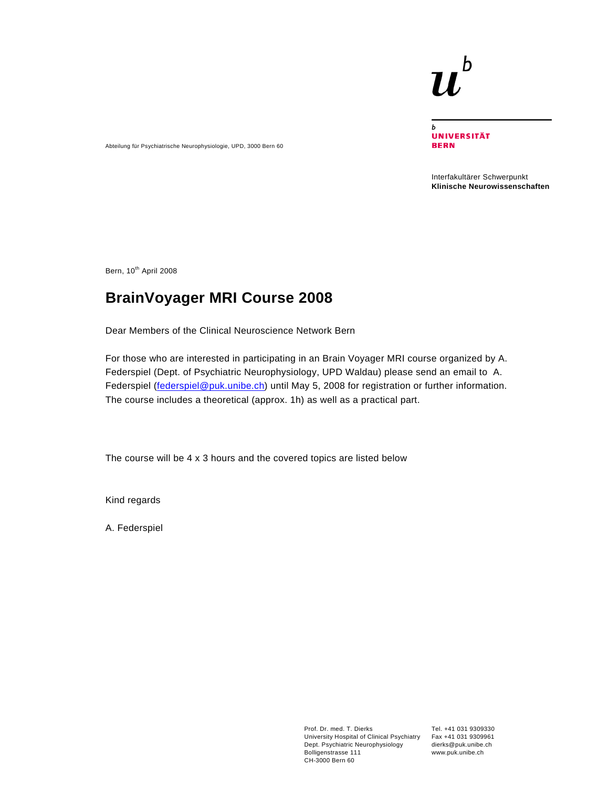# b

 $\mathbf b$ **UNIVERSITÄT BERN** 

Interfakultärer Schwerpunkt **Klinische Neurowissenschaften** 

Bern, 10<sup>th</sup> April 2008

# **BrainVoyager MRI Course 2008**

Abteilung für Psychiatrische Neurophysiologie, UPD, 3000 Bern 60

Dear Members of the Clinical Neuroscience Network Bern

For those who are interested in participating in an Brain Voyager MRI course organized by A. Federspiel (Dept. of Psychiatric Neurophysiology, UPD Waldau) please send an email to A. Federspiel (federspiel@puk.unibe.ch) until May 5, 2008 for registration or further information. The course includes a theoretical (approx. 1h) as well as a practical part.

The course will be 4 x 3 hours and the covered topics are listed below

Kind regards

A. Federspiel

Prof. Dr. med. T. Dierks University Hospital of Clinical Psychiatry Dept. Psychiatric Neurophysiology Bolligenstrasse 111 CH-3000 Bern 60

Tel. +41 031 9309330 Fax +41 031 9309961 dierks@puk.unibe.ch www.puk.unibe.ch